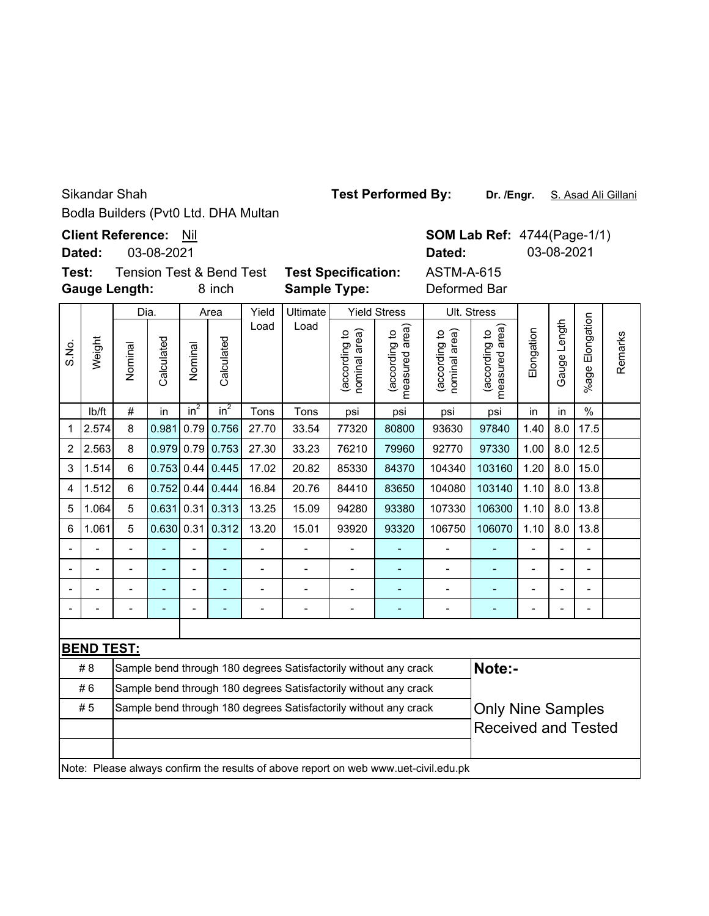Sikandar Shah

Bodla Builders (Pvt0 Ltd. DHA Multan

**Client Reference:** Nil

03-08-2021 **Dated:**

**Test:** Tension Test & Bend Test **T Gauge Length:**

8 inch S

Yield Ultimate Yield Stress **Sample Type:**

4744(Page-1/1) **Dated:** 03-08-2021

|                    | <b>SOM Lab Ref:</b> |  |  |  |  |  |  |
|--------------------|---------------------|--|--|--|--|--|--|
|                    | Dated:              |  |  |  |  |  |  |
| est Specification: | <b>ASTM-A-615</b>   |  |  |  |  |  |  |
| ample Type:        | Deformed Bar        |  |  |  |  |  |  |

| Weight<br>S.No.                                                                     |                   | Dia.                                                                       |            | Area           |                 | Yield          | Ultimate | <b>Yield Stress</b>           |                               |                                   | Ult. Stress                     |                |              |                      |         |  |
|-------------------------------------------------------------------------------------|-------------------|----------------------------------------------------------------------------|------------|----------------|-----------------|----------------|----------|-------------------------------|-------------------------------|-----------------------------------|---------------------------------|----------------|--------------|----------------------|---------|--|
|                                                                                     |                   | Nominal                                                                    | Calculated | Nominal        | Calculated      | Load           | Load     | nominal area)<br>according to | measured area<br>according to | area)<br>(according to<br>hominal | measured area)<br>(according to | Elongation     | Gauge Length | Elongation<br>%age F | Remarks |  |
|                                                                                     | lb/ft             | #                                                                          | in         | $in^2$         | in <sup>2</sup> | Tons           | Tons     | psi                           | psi                           | psi                               | psi                             | in             | in           | $\frac{0}{0}$        |         |  |
| $\mathbf 1$                                                                         | 2.574             | 8                                                                          | 0.981      | 0.79           | 0.756           | 27.70          | 33.54    | 77320                         | 80800                         | 93630                             | 97840                           | 1.40           | 8.0          | 17.5                 |         |  |
| $\overline{2}$                                                                      | 2.563             | 8                                                                          | 0.979      | 0.79           | 0.753           | 27.30          | 33.23    | 76210                         | 79960                         | 92770                             | 97330                           | 1.00           | 8.0          | 12.5                 |         |  |
| 3                                                                                   | 1.514             | 6                                                                          | 0.753      | 0.44           | 0.445           | 17.02          | 20.82    | 85330                         | 84370                         | 104340                            | 103160                          | 1.20           | 8.0          | 15.0                 |         |  |
| 4                                                                                   | 1.512             | 6                                                                          | 0.752      | 0.44           | 0.444           | 16.84          | 20.76    | 84410                         | 83650                         | 104080                            | 103140                          | 1.10           | 8.0          | 13.8                 |         |  |
| 5                                                                                   | 1.064             | 5                                                                          | 0.631      | 0.31           | 0.313           | 13.25          | 15.09    | 94280                         | 93380                         | 107330                            | 106300                          | 1.10           | 8.0          | 13.8                 |         |  |
| 6                                                                                   | 1.061             | 5                                                                          | 0.630      | 0.31           | 0.312           | 13.20          | 15.01    | 93920                         | 93320                         | 106750                            | 106070                          | 1.10           | 8.0          | 13.8                 |         |  |
| -                                                                                   |                   | $\overline{a}$                                                             |            | $\overline{a}$ |                 | $\overline{a}$ |          |                               |                               | $\overline{a}$                    | ÷,                              | $\overline{a}$ |              | $\overline{a}$       |         |  |
| $\overline{a}$                                                                      |                   | $\overline{a}$                                                             |            | ۰              | Ξ.              | $\overline{a}$ |          | $\overline{\phantom{a}}$      | ۰                             | $\overline{a}$                    | ÷,                              |                |              | L,                   |         |  |
|                                                                                     |                   |                                                                            |            |                |                 | $\overline{a}$ |          | L,                            |                               | $\overline{a}$                    |                                 |                |              | $\overline{a}$       |         |  |
|                                                                                     |                   |                                                                            |            |                |                 |                |          |                               |                               |                                   |                                 | ۰              |              | -                    |         |  |
|                                                                                     |                   |                                                                            |            |                |                 |                |          |                               |                               |                                   |                                 |                |              |                      |         |  |
|                                                                                     | <b>BEND TEST:</b> |                                                                            |            |                |                 |                |          |                               |                               |                                   |                                 |                |              |                      |         |  |
|                                                                                     | #8                | Note:-<br>Sample bend through 180 degrees Satisfactorily without any crack |            |                |                 |                |          |                               |                               |                                   |                                 |                |              |                      |         |  |
|                                                                                     | #6                | Sample bend through 180 degrees Satisfactorily without any crack           |            |                |                 |                |          |                               |                               |                                   |                                 |                |              |                      |         |  |
|                                                                                     | #5                | Sample bend through 180 degrees Satisfactorily without any crack           |            |                |                 |                |          |                               |                               | <b>Only Nine Samples</b>          |                                 |                |              |                      |         |  |
|                                                                                     |                   |                                                                            |            |                |                 |                |          |                               |                               |                                   | <b>Received and Tested</b>      |                |              |                      |         |  |
|                                                                                     |                   |                                                                            |            |                |                 |                |          |                               |                               |                                   |                                 |                |              |                      |         |  |
| Note: Please always confirm the results of above report on web www.uet-civil.edu.pk |                   |                                                                            |            |                |                 |                |          |                               |                               |                                   |                                 |                |              |                      |         |  |

**Test Performed By:**

Dr. /Engr. S. Asad Ali Gillani